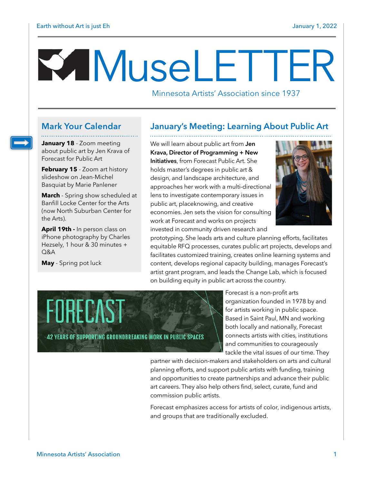# M useLETTER

Minnesota Artists' Association since 1937

**January 18** - Zoom meeting about public art by Jen Krava of Forecast for Public Art

**February 15** - Zoom art history slideshow on Jean-Michel Basquiat by Marie Panlener

**March** - Spring show scheduled at Banfill Locke Center for the Arts (now North Suburban Center for the Arts).

**April 19th -** In person class on iPhone photography by Charles Hezsely, 1 hour & 30 minutes + Q&A

**May** - Spring pot luck

# **Mark Your Calendar January's Meeting: Learning About Public Art**

We will learn about public art from **Jen Krava, Director of Programming + New Initiatives**, from Forecast Public Art. She holds master's degrees in public art & design, and landscape architecture, and approaches her work with a multi-directional lens to investigate contemporary issues in public art, placeknowing, and creative economies. Jen sets the vision for consulting work at Forecast and works on projects invested in community driven research and



prototyping. She leads arts and culture planning efforts, facilitates equitable RFQ processes, curates public art projects, develops and facilitates customized training, creates online learning systems and content, develops regional capacity building, manages Forecast's artist grant program, and leads the Change Lab, which is focused on building equity in public art across the country.



Forecast is a non-profit arts organization founded in 1978 by and for artists working in public space. Based in Saint Paul, MN and working both locally and nationally, Forecast connects artists with cities, institutions and communities to courageously tackle the vital issues of our time. They

partner with decision-makers and stakeholders on arts and cultural planning efforts, and support public artists with funding, training and opportunities to create partnerships and advance their public art careers. They also help others find, select, curate, fund and commission public artists.

Forecast emphasizes access for artists of color, indigenous artists, and groups that are traditionally excluded.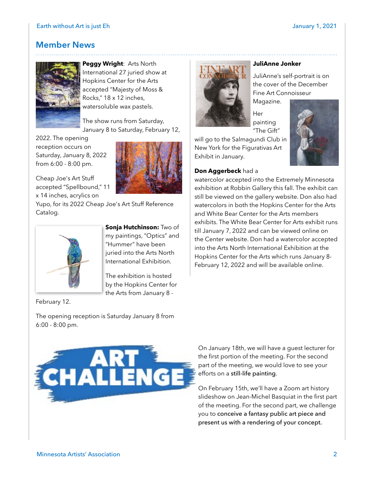# **Member News**



**Peggy Wright**: Arts North International 27 juried show at Hopkins Center for the Arts accepted "Majesty of Moss & Rocks," 18 x 12 inches, watersoluble wax pastels.

The show runs from Saturday, January 8 to Saturday, February 12,

2022. The opening reception occurs on Saturday, January 8, 2022 from 6:00 - 8:00 pm.

Cheap Joe's Art Stuff accepted "Spellbound," 11 x 14 inches, acrylics on



Yupo, for its 2022 Cheap Joe's Art Stuff Reference Catalog.



February 12.

**Sonja Hutchinson:** Two of my paintings, "Optics" and "Hummer" have been juried into the Arts North International Exhibition.

The exhibition is hosted by the Hopkins Center for the Arts from January 8 -

The opening reception is Saturday January 8 from 6:00 - 8:00 pm.



#### **JuliAnne Jonker**

JuliAnne's self-portrait is on the cover of the December Fine Art Connoisseur

Magazine. Her painting "The Gift"

will go to the Salmagundi Club in New York for the Figurativas Art Exhibit in January.

### **Don Aggerbeck** had a



watercolor accepted into the Extremely Minnesota exhibition at Robbin Gallery this fall. The exhibit can still be viewed on the gallery website. Don also had watercolors in both the Hopkins Center for the Arts and White Bear Center for the Arts members exhibits. The White Bear Center for Arts exhibit runs till January 7, 2022 and can be viewed online on the Center website. Don had a watercolor accepted into the Arts North International Exhibition at the Hopkins Center for the Arts which runs January 8- February 12, 2022 and will be available online.

On January 18th, we will have a guest lecturer for the first portion of the meeting. For the second part of the meeting, we would love to see your efforts on a still-life painting.

On February 15th, we'll have a Zoom art history slideshow on Jean-Michel Basquiat in the first part of the meeting. For the second part, we challenge you to conceive a fantasy public art piece and present us with a rendering of your concept.